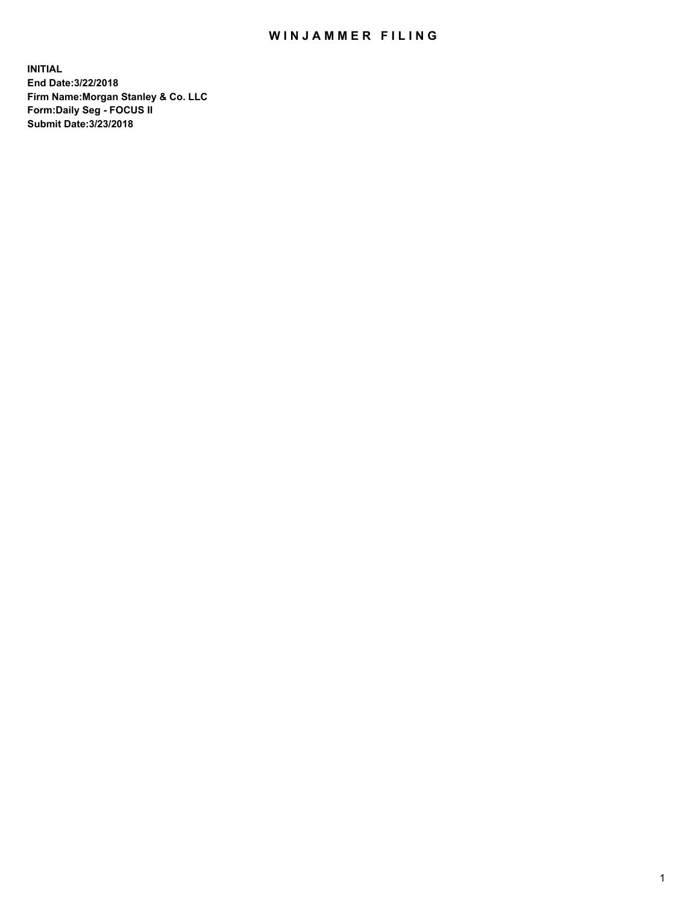## WIN JAMMER FILING

**INITIAL End Date:3/22/2018 Firm Name:Morgan Stanley & Co. LLC Form:Daily Seg - FOCUS II Submit Date:3/23/2018**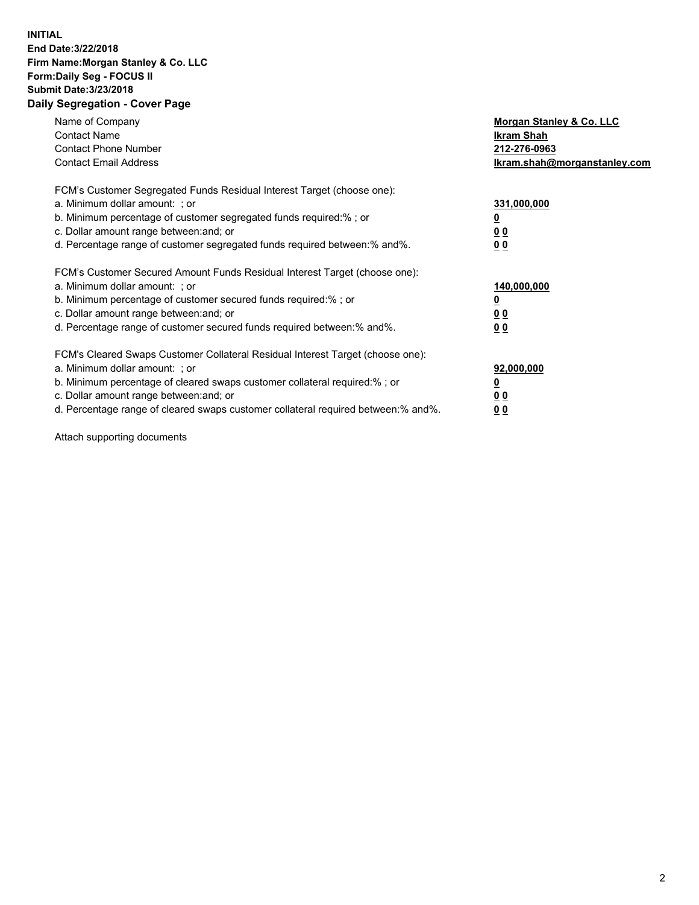## **INITIAL End Date:3/22/2018 Firm Name:Morgan Stanley & Co. LLC Form:Daily Seg - FOCUS II Submit Date:3/23/2018 Daily Segregation - Cover Page**

| Name of Company<br><b>Contact Name</b><br><b>Contact Phone Number</b><br><b>Contact Email Address</b>                                                                                                                                                                                                                          | Morgan Stanley & Co. LLC<br>Ikram Shah<br>212-276-0963<br>lkram.shah@morganstanley.com |
|--------------------------------------------------------------------------------------------------------------------------------------------------------------------------------------------------------------------------------------------------------------------------------------------------------------------------------|----------------------------------------------------------------------------------------|
| FCM's Customer Segregated Funds Residual Interest Target (choose one):<br>a. Minimum dollar amount: ; or<br>b. Minimum percentage of customer segregated funds required:%; or<br>c. Dollar amount range between: and; or<br>d. Percentage range of customer segregated funds required between:% and%.                          | 331,000,000<br><u>0</u><br>0 <sub>0</sub><br>00                                        |
| FCM's Customer Secured Amount Funds Residual Interest Target (choose one):<br>a. Minimum dollar amount: ; or<br>b. Minimum percentage of customer secured funds required: %; or<br>c. Dollar amount range between: and; or<br>d. Percentage range of customer secured funds required between:% and%.                           | 140,000,000<br>0 <sub>0</sub><br>0 <sub>0</sub>                                        |
| FCM's Cleared Swaps Customer Collateral Residual Interest Target (choose one):<br>a. Minimum dollar amount: ; or<br>b. Minimum percentage of cleared swaps customer collateral required:% ; or<br>c. Dollar amount range between: and; or<br>d. Percentage range of cleared swaps customer collateral required between:% and%. | 92,000,000<br>0 <sub>0</sub><br><u>00</u>                                              |

Attach supporting documents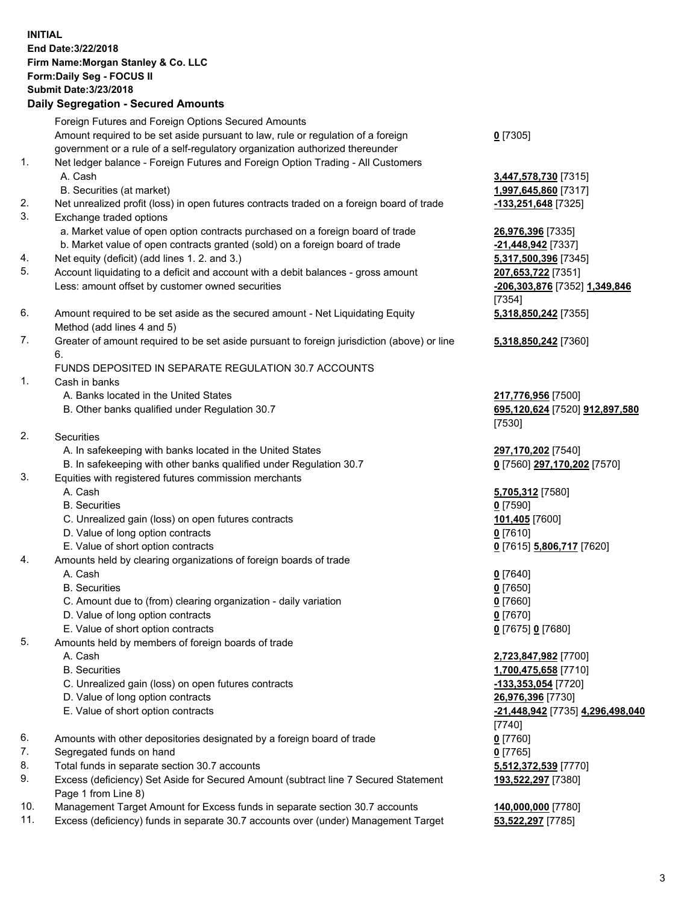## **INITIAL End Date:3/22/2018 Firm Name:Morgan Stanley & Co. LLC Form:Daily Seg - FOCUS II Submit Date:3/23/2018 Daily Segregation - Secured Amounts**

Foreign Futures and Foreign Options Secured Amounts Amount required to be set aside pursuant to law, rule or regulation of a foreign government or a rule of a self-regulatory organization authorized thereunder 1. Net ledger balance - Foreign Futures and Foreign Option Trading - All Customers

- A. Cash **3,447,578,730** [7315]
	- B. Securities (at market) **1,997,645,860** [7317]
- 2. Net unrealized profit (loss) in open futures contracts traded on a foreign board of trade **-133,251,648** [7325]
- 3. Exchange traded options
	- a. Market value of open option contracts purchased on a foreign board of trade **26,976,396** [7335]
	- b. Market value of open contracts granted (sold) on a foreign board of trade **-21,448,942** [7337]
- 4. Net equity (deficit) (add lines 1. 2. and 3.) **5,317,500,396** [7345]
- 5. Account liquidating to a deficit and account with a debit balances gross amount **207,653,722** [7351] Less: amount offset by customer owned securities **-206,303,876** [7352] **1,349,846**
- 6. Amount required to be set aside as the secured amount Net Liquidating Equity Method (add lines 4 and 5)
- 7. Greater of amount required to be set aside pursuant to foreign jurisdiction (above) or line 6.

## FUNDS DEPOSITED IN SEPARATE REGULATION 30.7 ACCOUNTS

- 1. Cash in banks
	- A. Banks located in the United States **217,776,956** [7500]
	- B. Other banks qualified under Regulation 30.7 **695,120,624** [7520] **912,897,580**
- 2. Securities
	- A. In safekeeping with banks located in the United States **297,170,202** [7540]
	- B. In safekeeping with other banks qualified under Regulation 30.7 **0** [7560] **297,170,202** [7570]
- 3. Equities with registered futures commission merchants
	-
	-
	- C. Unrealized gain (loss) on open futures contracts **101,405** [7600]
	- D. Value of long option contracts **0** [7610]
- E. Value of short option contracts **0** [7615] **5,806,717** [7620]
- 4. Amounts held by clearing organizations of foreign boards of trade
	-
	-
	- C. Amount due to (from) clearing organization daily variation **0** [7660]
	- D. Value of long option contracts **0** [7670]
	- E. Value of short option contracts **0** [7675] **0** [7680]
- 5. Amounts held by members of foreign boards of trade
	-
	-
	- C. Unrealized gain (loss) on open futures contracts **-133,353,054** [7720]
	- D. Value of long option contracts **26,976,396** [7730]
	- E. Value of short option contracts **-21,448,942** [7735] **4,296,498,040**
- 6. Amounts with other depositories designated by a foreign board of trade **0** [7760]
- 7. Segregated funds on hand **0** [7765]
- 8. Total funds in separate section 30.7 accounts **5,512,372,539** [7770]
- 9. Excess (deficiency) Set Aside for Secured Amount (subtract line 7 Secured Statement Page 1 from Line 8)
- 10. Management Target Amount for Excess funds in separate section 30.7 accounts **140,000,000** [7780]
- 11. Excess (deficiency) funds in separate 30.7 accounts over (under) Management Target **53,522,297** [7785]

| 0 [7305] |  |
|----------|--|
|----------|--|

[7354] **5,318,850,242** [7355]

**5,318,850,242** [7360]

[7530]

 A. Cash **5,705,312** [7580] B. Securities **0** [7590]

 A. Cash **0** [7640] B. Securities **0** [7650]

 A. Cash **2,723,847,982** [7700] B. Securities **1,700,475,658** [7710] [7740] **193,522,297** [7380]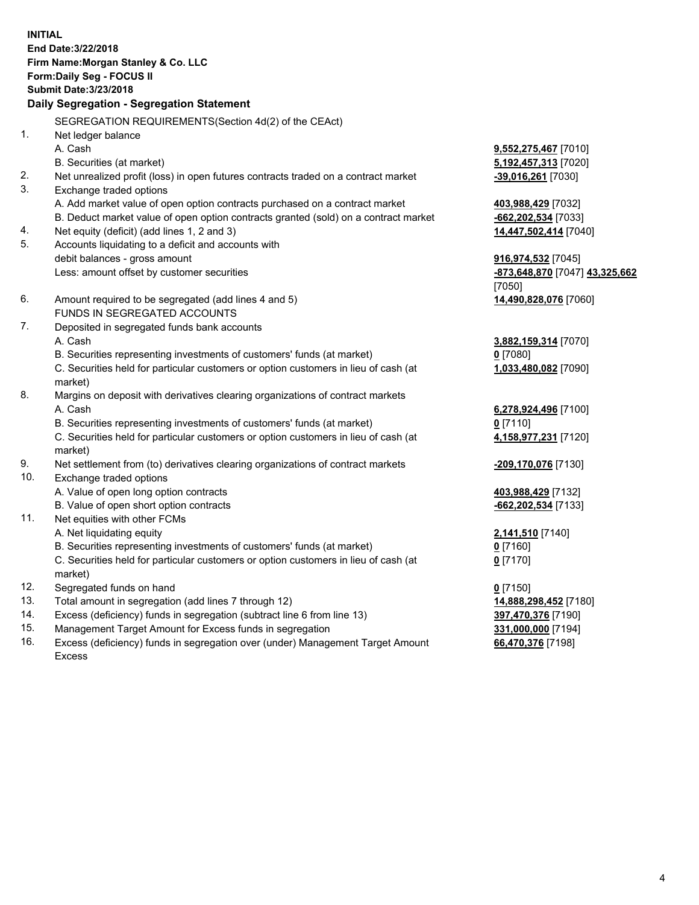**INITIAL End Date:3/22/2018 Firm Name:Morgan Stanley & Co. LLC Form:Daily Seg - FOCUS II Submit Date:3/23/2018 Daily Segregation - Segregation Statement** SEGREGATION REQUIREMENTS(Section 4d(2) of the CEAct) 1. Net ledger balance A. Cash **9,552,275,467** [7010] B. Securities (at market) **5,192,457,313** [7020] 2. Net unrealized profit (loss) in open futures contracts traded on a contract market **-39,016,261** [7030] 3. Exchange traded options A. Add market value of open option contracts purchased on a contract market **403,988,429** [7032] B. Deduct market value of open option contracts granted (sold) on a contract market **-662,202,534** [7033] 4. Net equity (deficit) (add lines 1, 2 and 3) **14,447,502,414** [7040] 5. Accounts liquidating to a deficit and accounts with debit balances - gross amount **916,974,532** [7045] Less: amount offset by customer securities **-873,648,870** [7047] **43,325,662** [7050] 6. Amount required to be segregated (add lines 4 and 5) **14,490,828,076** [7060] FUNDS IN SEGREGATED ACCOUNTS 7. Deposited in segregated funds bank accounts A. Cash **3,882,159,314** [7070] B. Securities representing investments of customers' funds (at market) **0** [7080] C. Securities held for particular customers or option customers in lieu of cash (at market) **1,033,480,082** [7090] 8. Margins on deposit with derivatives clearing organizations of contract markets A. Cash **6,278,924,496** [7100] B. Securities representing investments of customers' funds (at market) **0** [7110] C. Securities held for particular customers or option customers in lieu of cash (at market) **4,158,977,231** [7120] 9. Net settlement from (to) derivatives clearing organizations of contract markets **-209,170,076** [7130] 10. Exchange traded options A. Value of open long option contracts **403,988,429** [7132] B. Value of open short option contracts **-662,202,534** [7133] 11. Net equities with other FCMs A. Net liquidating equity **2,141,510** [7140] B. Securities representing investments of customers' funds (at market) **0** [7160] C. Securities held for particular customers or option customers in lieu of cash (at market) **0** [7170] 12. Segregated funds on hand **0** [7150] 13. Total amount in segregation (add lines 7 through 12) **14,888,298,452** [7180] 14. Excess (deficiency) funds in segregation (subtract line 6 from line 13) **397,470,376** [7190]

- 15. Management Target Amount for Excess funds in segregation **331,000,000** [7194]
- 16. Excess (deficiency) funds in segregation over (under) Management Target Amount Excess

**66,470,376** [7198]